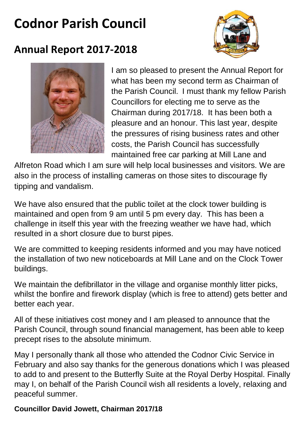# **Codnor Parish Council**



## **Annual Report 2017-2018**



I am so pleased to present the Annual Report for what has been my second term as Chairman of the Parish Council. I must thank my fellow Parish Councillors for electing me to serve as the Chairman during 2017/18. It has been both a pleasure and an honour. This last year, despite the pressures of rising business rates and other costs, the Parish Council has successfully maintained free car parking at Mill Lane and

Alfreton Road which I am sure will help local businesses and visitors. We are also in the process of installing cameras on those sites to discourage fly tipping and vandalism.

We have also ensured that the public toilet at the clock tower building is maintained and open from 9 am until 5 pm every day. This has been a challenge in itself this year with the freezing weather we have had, which resulted in a short closure due to burst pipes.

We are committed to keeping residents informed and you may have noticed the installation of two new noticeboards at Mill Lane and on the Clock Tower buildings.

We maintain the defibrillator in the village and organise monthly litter picks, whilst the bonfire and firework display (which is free to attend) gets better and better each year.

All of these initiatives cost money and I am pleased to announce that the Parish Council, through sound financial management, has been able to keep precept rises to the absolute minimum.

May I personally thank all those who attended the Codnor Civic Service in February and also say thanks for the generous donations which I was pleased to add to and present to the Butterfly Suite at the Royal Derby Hospital. Finally may I, on behalf of the Parish Council wish all residents a lovely, relaxing and peaceful summer.

#### **Councillor David Jowett, Chairman 2017/18**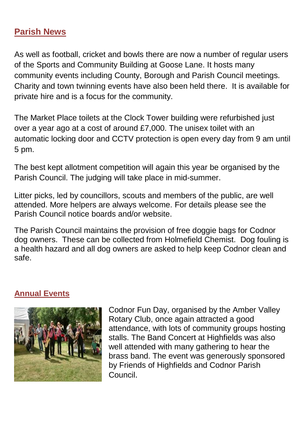#### **Parish News**

As well as football, cricket and bowls there are now a number of regular users of the Sports and Community Building at Goose Lane. It hosts many community events including County, Borough and Parish Council meetings. Charity and town twinning events have also been held there. It is available for private hire and is a focus for the community.

The Market Place toilets at the Clock Tower building were refurbished just over a year ago at a cost of around £7,000. The unisex toilet with an automatic locking door and CCTV protection is open every day from 9 am until 5 pm.

The best kept allotment competition will again this year be organised by the Parish Council. The judging will take place in mid-summer.

Litter picks, led by councillors, scouts and members of the public, are well attended. More helpers are always welcome. For details please see the Parish Council notice boards and/or website.

The Parish Council maintains the provision of free doggie bags for Codnor dog owners. These can be collected from Holmefield Chemist. Dog fouling is a health hazard and all dog owners are asked to help keep Codnor clean and safe.

#### **Annual Events**



Codnor Fun Day, organised by the Amber Valley Rotary Club, once again attracted a good attendance, with lots of community groups hosting stalls. The Band Concert at Highfields was also well attended with many gathering to hear the brass band. The event was generously sponsored by Friends of Highfields and Codnor Parish Council.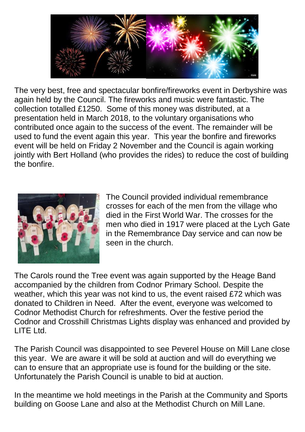

The very best, free and spectacular bonfire/fireworks event in Derbyshire was again held by the Council. The fireworks and music were fantastic. The collection totalled £1250. Some of this money was distributed, at a presentation held in March 2018, to the voluntary organisations who contributed once again to the success of the event. The remainder will be used to fund the event again this year. This year the bonfire and fireworks event will be held on Friday 2 November and the Council is again working jointly with Bert Holland (who provides the rides) to reduce the cost of building the bonfire.



The Council provided individual remembrance crosses for each of the men from the village who died in the First World War. The crosses for the men who died in 1917 were placed at the Lych Gate in the Remembrance Day service and can now be seen in the church.

The Carols round the Tree event was again supported by the Heage Band accompanied by the children from Codnor Primary School. Despite the weather, which this year was not kind to us, the event raised £72 which was donated to Children in Need. After the event, everyone was welcomed to Codnor Methodist Church for refreshments. Over the festive period the Codnor and Crosshill Christmas Lights display was enhanced and provided by LITE Ltd.

The Parish Council was disappointed to see Peverel House on Mill Lane close this year. We are aware it will be sold at auction and will do everything we can to ensure that an appropriate use is found for the building or the site. Unfortunately the Parish Council is unable to bid at auction.

In the meantime we hold meetings in the Parish at the Community and Sports building on Goose Lane and also at the Methodist Church on Mill Lane.